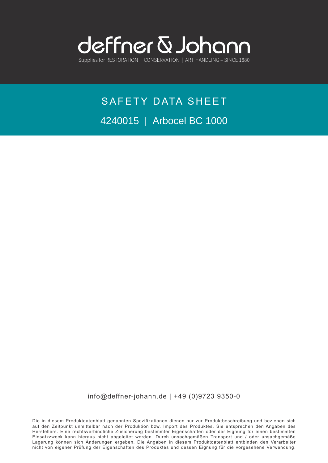

## SAFETY DATA SHEET 4240015 | Arbocel BC 1000

info@deffner-johann.de | +49 (0)9723 9350-0

Die in diesem Produktdatenblatt genannten Spezifikationen dienen nur zur Produktbeschreibung und beziehen sich auf den Zeitpunkt unmittelbar nach der Produktion bzw. Import des Produktes. Sie entsprechen den Angaben des Herstellers. Eine rechtsverbindliche Zusicherung bestimmter Eigenschaften oder der Eignung für einen bestimmten Einsatzzweck kann hieraus nicht abgeleitet werden. Durch unsachgemäßen Transport und / oder unsachgemäße Lagerung können sich Änderungen ergeben. Die Angaben in diesem Produktdatenblatt entbinden den Verarbeiter nicht von eigener Prüfung der Eigenschaften des Produktes und dessen Eignung für die vorgesehene Verwendung.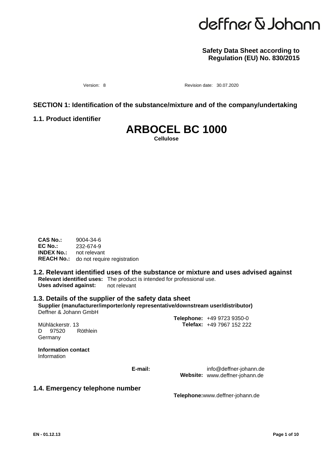# deffner & Johann

#### **Safety Data Sheet according to Regulation (EU) No. 830/2015**

Version: 8 **Revision date: 30.07.2020** 

#### **SECTION 1: Identification of the substance/mixture and of the company/undertaking**

**1.1. Product identifier**

### **ARBOCEL BC 1000**

**Cellulose**

**CAS No.:** 9004-34-6<br>**EC No.:** 232-674-9 **EC No.:** 232-674-9 **INDEX No.:** not relevant **REACH No.:** do not require registration

#### **1.2. Relevant identified uses of the substance or mixture and uses advised against Relevant identified uses:** The product is intended for professional use. **Uses advised against:** not relevant

#### **1.3. Details of the supplier of the safety data sheet Supplier (manufacturer/importer/only representative/downstream user/distributor)** Deffner & Johann GmbH

D. Germany Mühläckerstr. 13 97520 Röthlein

**Telefax:** +49 7967 152 222 **Telephone:** +49 9723 9350-0

**Information contact** Information

**E-mail:**

info@deffner-johann.de Website: www.deffner-johann.de

#### **1.4. Emergency telephone number**

**Telephone:**www.deffner-johann.de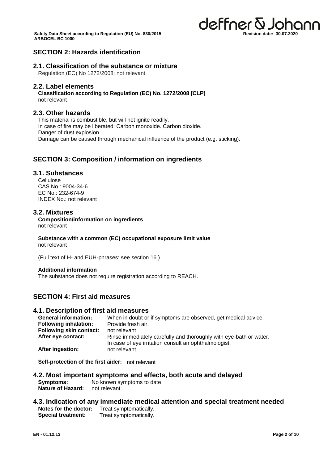

#### **SECTION 2: Hazards identification**

#### **2.1. Classification of the substance or mixture**

Regulation (EC) No 1272/2008: not relevant

#### **2.2. Label elements**

**Classification according to Regulation (EC) No. 1272/2008 [CLP]** not relevant

#### **2.3. Other hazards**

This material is combustible, but will not ignite readily. In case of fire may be liberated: Carbon monoxide. Carbon dioxide. Danger of dust explosion. Damage can be caused through mechanical influence of the product (e.g. sticking).

#### **SECTION 3: Composition / information on ingredients**

#### **3.1. Substances**

**Cellulose** CAS No.: 9004-34-6 EC No.: 232-674-9 INDEX No.: not relevant

#### **3.2. Mixtures**

**Composition/information on ingredients** not relevant

**Substance with a common (EC) occupational exposure limit value** not relevant

(Full text of H- and EUH-phrases: see section 16.)

#### **Additional information**

The substance does not require registration according to REACH.

#### **SECTION 4: First aid measures**

#### **4.1. Description of first aid measures**

| <b>General information:</b>    | When in doubt or if symptoms are observed, get medical advice.                                                              |
|--------------------------------|-----------------------------------------------------------------------------------------------------------------------------|
| <b>Following inhalation:</b>   | Provide fresh air.                                                                                                          |
| <b>Following skin contact:</b> | not relevant                                                                                                                |
| After eye contact:             | Rinse immediately carefully and thoroughly with eye-bath or water.<br>In case of eye irritation consult an ophthalmologist. |
| After ingestion:               | not relevant                                                                                                                |

**Self-protection of the first aider:** not relevant

- **4.2. Most important symptoms and effects, both acute and delayed Symptoms:** No known symptoms to date<br>**Nature of Hazard:** not relevant **Nature of Hazard:**
- **4.3. Indication of any immediate medical attention and special treatment needed Notes for the doctor:** Treat symptomatically. **Special treatment:** Treat symptomatically.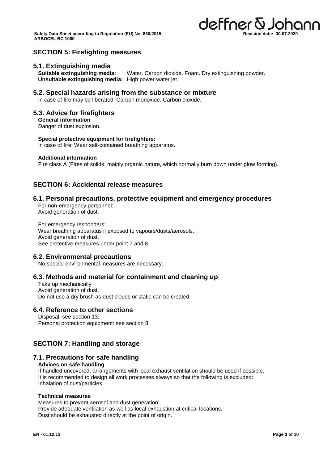

#### **SECTION 5: Firefighting measures**

#### **5.1. Extinguishing media**

**Suitable extinguishing media:** Water. Carbon dioxide. Foam. Dry extinguishing powder. **Unsuitable extinguishing media:** High power water jet.

#### **5.2. Special hazards arising from the substance or mixture**

In case of fire may be liberated: Carbon monoxide. Carbon dioxide.

#### **5.3. Advice for firefighters**

**General information** Danger of dust explosion.

#### **Special protective equipment for firefighters:**

In case of fire: Wear self-contained breathing apparatus.

#### **Additional information**

Fire class A (Fires of solids, mainly organic nature, which normally burn down under glow forming).

#### **SECTION 6: Accidental release measures**

#### **6.1. Personal precautions, protective equipment and emergency procedures**

For non-emergency personnel: Avoid generation of dust.

For emergency responders: Wear breathing apparatus if exposed to vapours/dusts/aerosols. Avoid generation of dust. See protective measures under point 7 and 8.

#### **6.2. Environmental precautions**

No special environmental measures are necessary.

#### **6.3. Methods and material for containment and cleaning up**

Take up mechanically. Avoid generation of dust. Do not use a dry brush as dust clouds or static can be created.

#### **6.4. Reference to other sections**

Disposal: see section 13. Personal protection equipment: see section 8

#### **SECTION 7: Handling and storage**

#### **7.1. Precautions for safe handling**

#### **Advices on safe handling**

If handled uncovered, arrangements with local exhaust ventilation should be used if possible. It is recommended to design all work processes always so that the following is excluded: Inhalation of dust/particles

#### **Technical measures**

Measures to prevent aerosol and dust generation: Provide adequate ventilation as well as local exhaustion at critical locations. Dust should be exhausted directly at the point of origin.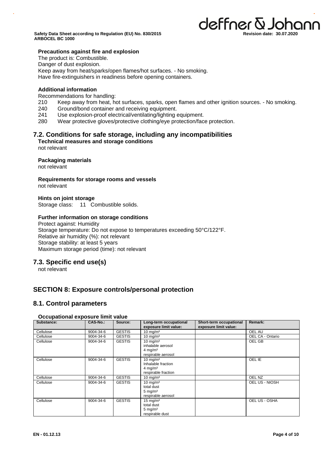

#### **Precautions against fire and explosion**

The product is: Combustible.

Danger of dust explosion.

Keep away from heat/sparks/open flames/hot surfaces. - No smoking.

Have fire-extinguishers in readiness before opening containers.

#### **Additional information**

Recommendations for handling:

- 210 Keep away from heat, hot surfaces, sparks, open flames and other ignition sources. No smoking.
- 240 Ground/bond container and receiving equipment.
- 241 Use explosion-proof electrical/ventilating/lighting equipment.
- 280 Wear protective gloves/protective clothing/eye protection/face protection.

#### **7.2. Conditions for safe storage, including any incompatibilities**

**Technical measures and storage conditions** not relevant

#### **Packaging materials**

not relevant

**Requirements for storage rooms and vessels** not relevant

**Hints on joint storage** Storage class: 11 Combustible solids.

**Further information on storage conditions**  Protect against: Humidity

Storage temperature: Do not expose to temperatures exceeding 50°C/122°F. Relative air humidity (%): not relevant Storage stability: at least 5 years Maximum storage period (time): not relevant

#### **7.3. Specific end use(s)**

not relevant

#### **SECTION 8: Exposure controls/personal protection**

#### **8.1. Control parameters**

#### **Occupational exposure limit value**

| Substance: | <b>CAS-No.:</b> | Source:       | Long-term occupational<br>exposure limit value:                                        | Short-term occupational<br>exposure limit value: | Remark:          |
|------------|-----------------|---------------|----------------------------------------------------------------------------------------|--------------------------------------------------|------------------|
| Cellulose  | 9004-34-6       | <b>GESTIS</b> | $10 \text{ mg/m}^3$                                                                    |                                                  | OEL AU           |
| Cellulose  | 9004-34-6       | <b>GESTIS</b> | $10 \text{ mg/m}^3$                                                                    |                                                  | OEL CA - Ontario |
| Cellulose  | 9004-34-6       | <b>GESTIS</b> | $10 \text{ mg/m}^3$<br>inhalable aerosol<br>$4 \text{ mg/m}^3$<br>respirable aerosol   |                                                  | OEL GB           |
| Cellulose  | 9004-34-6       | <b>GESTIS</b> | $10 \text{ mg/m}^3$<br>Inhalable fraction<br>$4 \text{ mg/m}^3$<br>respirable fraction |                                                  | OEL IE           |
| Cellulose  | 9004-34-6       | <b>GESTIS</b> | $10 \text{ mg/m}^3$                                                                    |                                                  | OEL NZ           |
| Cellulose  | $9004 - 34 - 6$ | <b>GESTIS</b> | $10 \text{ mg/m}^3$<br>total dust<br>$5 \text{ mg/m}^3$<br>respirable aerosol          |                                                  | OEL US - NIOSH   |
| Cellulose  | 9004-34-6       | <b>GESTIS</b> | $15 \text{ mg/m}^3$<br>total dust<br>5 mg/ $m3$<br>respirable dust                     |                                                  | OEL US - OSHA    |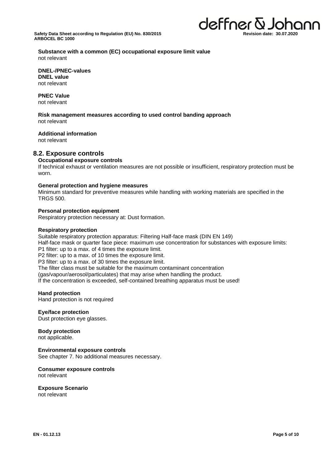

**Substance with a common (EC) occupational exposure limit value** not relevant

**DNEL-/PNEC-values DNEL value** not relevant

**PNEC Value** not relevant

**Risk management measures according to used control banding approach** not relevant

#### **Additional information**

not relevant

#### **8.2. Exposure controls**

#### **Occupational exposure controls**

If technical exhaust or ventilation measures are not possible or insufficient, respiratory protection must be worn.

#### **General protection and hygiene measures**

Minimum standard for preventive measures while handling with working materials are specified in the TRGS 500.

#### **Personal protection equipment**

Respiratory protection necessary at: Dust formation.

#### **Respiratory protection**

Suitable respiratory protection apparatus: Filtering Half-face mask (DIN EN 149) Half-face mask or quarter face piece: maximum use concentration for substances with exposure limits: P1 filter: up to a max. of 4 times the exposure limit. P2 filter: up to a max. of 10 times the exposure limit. P3 filter: up to a max. of 30 times the exposure limit. The filter class must be suitable for the maximum contaminant concentration (gas/vapour/aerosol/particulates) that may arise when handling the product. If the concentration is exceeded, self-contained breathing apparatus must be used!

#### **Hand protection**

Hand protection is not required

#### **Eye/face protection**

Dust protection eye glasses.

#### **Body protection**

not applicable.

#### **Environmental exposure controls**

See chapter 7. No additional measures necessary.

#### **Consumer exposure controls** not relevant

#### **Exposure Scenario**

not relevant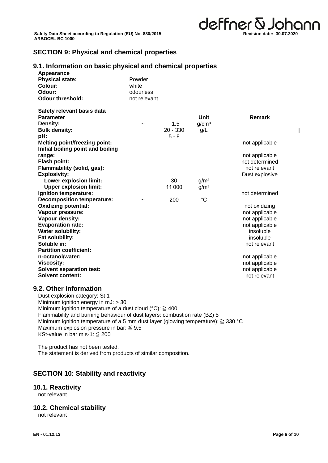deffner & Johann **Revision date: 30.07.2020**

#### **SECTION 9: Physical and chemical properties**

### **9.1. Information on basic physical and chemical properties**

| Appearance<br><b>Physical state:</b><br>Colour:<br>Odour:<br><b>Odour threshold:</b>      | Powder<br>white<br>odourless<br>not relevant |                              |                                      |                                        |
|-------------------------------------------------------------------------------------------|----------------------------------------------|------------------------------|--------------------------------------|----------------------------------------|
| Safety relevant basis data<br><b>Parameter</b><br>Density:<br><b>Bulk density:</b><br>pH: |                                              | 1.5<br>$20 - 330$<br>$5 - 8$ | Unit<br>q/cm <sup>3</sup><br>g/L     | Remark                                 |
| <b>Melting point/freezing point:</b><br>Initial boiling point and boiling                 |                                              |                              |                                      | not applicable                         |
| range:<br><b>Flash point:</b>                                                             |                                              |                              |                                      | not applicable<br>not determined       |
| Flammability (solid, gas):<br><b>Explosivity:</b>                                         |                                              |                              |                                      | not relevant<br>Dust explosive         |
| <b>Lower explosion limit:</b><br><b>Upper explosion limit:</b>                            |                                              | 30<br>11000                  | g/m <sup>3</sup><br>g/m <sup>3</sup> |                                        |
| Ignition temperature:<br><b>Decomposition temperature:</b>                                |                                              | 200                          | $^{\circ}C$                          | not determined                         |
| <b>Oxidizing potential:</b><br>Vapour pressure:                                           |                                              |                              |                                      | not oxidizing<br>not applicable        |
| Vapour density:<br><b>Evaporation rate:</b>                                               |                                              |                              |                                      | not applicable<br>not applicable       |
| <b>Water solubility:</b><br>Fat solubility:<br>Soluble in:                                |                                              |                              |                                      | insoluble<br>insoluble<br>not relevant |
| <b>Partition coefficient:</b><br>n-octanol/water:                                         |                                              |                              |                                      | not applicable                         |
| <b>Viscosity:</b><br><b>Solvent separation test:</b>                                      |                                              |                              |                                      | not applicable<br>not applicable       |
| <b>Solvent content:</b>                                                                   |                                              |                              |                                      | not relevant                           |

#### **9.2. Other information**

Dust explosion category: St 1 Minimum ignition energy in mJ: > 30 Minimum ignition temperature of a dust cloud (°C):  $\geq 400$ Flammability and burning behaviour of dust layers: combustion rate (BZ) 5 Minimum ignition temperature of a 5 mm dust layer (glowing temperature): ≧ 330 °C Maximum explosion pressure in bar:  $\leq 9.5$ KSt-value in bar m s-1:  $\leq$  200

The product has not been tested. The statement is derived from products of similar composition.

#### **SECTION 10: Stability and reactivity**

#### **10.1. Reactivity**

not relevant

#### **10.2. Chemical stability**

not relevant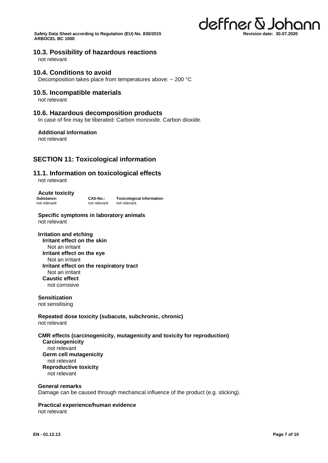#### **10.3. Possibility of hazardous reactions**

not relevant

#### **10.4. Conditions to avoid**

Decomposition takes place from temperatures above: ~ 200 °C

#### **10.5. Incompatible materials**

not relevant

#### **10.6. Hazardous decomposition products**

In case of fire may be liberated: Carbon monoxide. Carbon dioxide.

#### **Additional information**

not relevant

#### **SECTION 11: Toxicological information**

#### **11.1. Information on toxicological effects**

not relevant

**Acute toxicity**

**Substance: CAS-No.: Toxicological information** not relevant not relevant not relevant

**Specific symptoms in laboratory animals** not relevant

**Irritation and etching Irritant effect on the skin** Not an irritant **Irritant effect on the eye** Not an irritant **Irritant effect on the respiratory tract** Not an irritant **Caustic effect** not corrosive

**Sensitization** not sensitising

**Repeated dose toxicity (subacute, subchronic, chronic)** not relevant

**CMR effects (carcinogenicity, mutagenicity and toxicity for reproduction) Carcinogenicity** not relevant **Germ cell mutagenicity** not relevant **Reproductive toxicity** not relevant

#### **General remarks**

Damage can be caused through mechanical influence of the product (e.g. sticking).

#### **Practical experience/human evidence**

not relevant

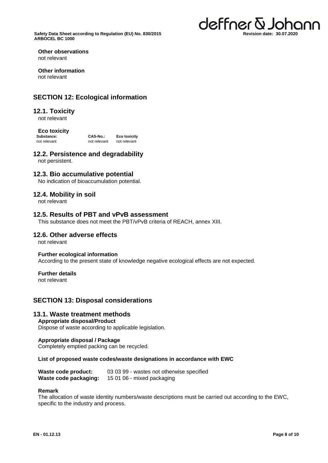

**Other observations** not relevant

**Other information** not relevant

#### **SECTION 12: Ecological information**

#### **12.1. Toxicity**

not relevant

#### **Eco toxicity**

**Substance: CAS-No.: Eco toxicity**<br> **CAS-No.: Eco toxicity**<br> **CAS-No.: Eco toxicity** not relevant not relevant

#### **12.2. Persistence and degradability**

not persistent.

#### **12.3. Bio accumulative potential**

No indication of bioaccumulation potential.

#### **12.4. Mobility in soil**

not relevant

#### **12.5. Results of PBT and vPvB assessment**

This substance does not meet the PBT/vPvB criteria of REACH, annex XIII.

#### **12.6. Other adverse effects**

not relevant

#### **Further ecological information**

According to the present state of knowledge negative ecological effects are not expected.

#### **Further details**

not relevant

#### **SECTION 13: Disposal considerations**

#### **13.1. Waste treatment methods**

#### **Appropriate disposal/Product**

Dispose of waste according to applicable legislation.

#### **Appropriate disposal / Package**

Completely emptied packing can be recycled.

#### **List of proposed waste codes/waste designations in accordance with EWC**

| Waste code product:   | 03 03 99 - wastes not otherwise specified |
|-----------------------|-------------------------------------------|
| Waste code packaging: | 15 01 06 - mixed packaging                |

#### **Remark**

The allocation of waste identity numbers/waste descriptions must be carried out according to the EWC, specific to the industry and process.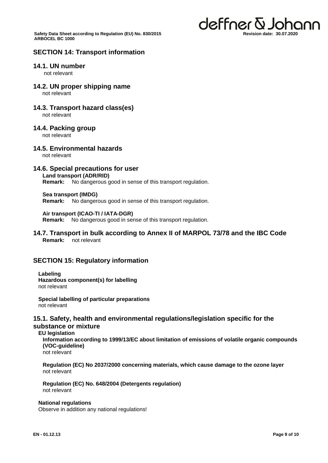

#### **SECTION 14: Transport information**

#### **14.1. UN number**

not relevant

**14.2. UN proper shipping name**

not relevant

**14.3. Transport hazard class(es)**

not relevant

#### **14.4. Packing group**

not relevant

#### **14.5. Environmental hazards**

not relevant

#### **14.6. Special precautions for user**

**Land transport (ADR/RID)**

**Remark:** No dangerous good in sense of this transport regulation.

**Sea transport (IMDG)**

**Remark:** No dangerous good in sense of this transport regulation.

#### **Air transport (ICAO-TI / IATA-DGR)**

**Remark:** No dangerous good in sense of this transport regulation.

#### **14.7. Transport in bulk according to Annex II of MARPOL 73/78 and the IBC Code Remark:** not relevant

#### **SECTION 15: Regulatory information**

**Labeling Hazardous component(s) for labelling** not relevant

**Special labelling of particular preparations** not relevant

#### **15.1. Safety, health and environmental regulations/legislation specific for the substance or mixture**

#### **EU legislation**

**Information according to 1999/13/EC about limitation of emissions of volatile organic compounds (VOC-guideline)**

not relevant

**Regulation (EC) No 2037/2000 concerning materials, which cause damage to the ozone layer** not relevant

**Regulation (EC) No. 648/2004 (Detergents regulation)** not relevant

#### **National regulations**

Observe in addition any national regulations!